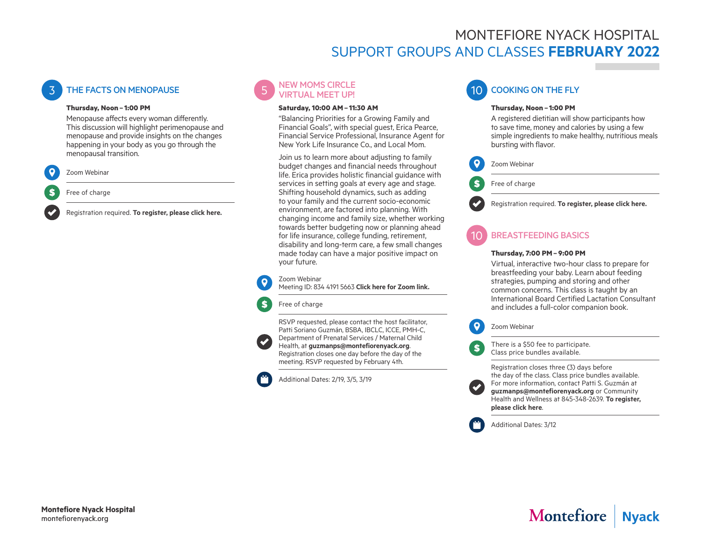# MONTEFIORE NYACK HOSPITAL SUPPORT GROUPS AND CLASSES **FEBRUARY 2022**

## **THE FACTS ON MENOPAUSE**

#### **Thursday, Noon – 1:00 PM**

Menopause affects every woman differently. This discussion will highlight perimenopause and menopause and provide insights on the changes happening in your body as you go through the menopausal transition.



Free of charge

Registration required. **[To register, please click here.](https://us06web.zoom.us/webinar/register/WN_sbn3fEBJTA-49yEJEBmNtg)**



#### **Saturday, 10:00 AM– 11:30 AM**

"Balancing Priorities for a Growing Family and Financial Goals", with special guest, Erica Pearce, Financial Service Professional, Insurance Agent for New York Life Insurance Co., and Local Mom.

Join us to learn more about adjusting to family budget changes and financial needs throughout life. Erica provides holistic financial guidance with services in setting goals at every age and stage. Shifting household dynamics, such as adding to your family and the current socio-economic environment, are factored into planning. With changing income and family size, whether working towards better budgeting now or planning ahead for life insurance, college funding, retirement, disability and long-term care, a few small changes made today can have a major positive impact on your future.

#### Zoom Webinar

Ś.

Meeting ID: 834 4191 5663 **[Click here for Zoom link](https://us06web.zoom.us/j/83441915663).**

#### Free of charge

RSVP requested, please contact the host facilitator, Patti Soriano Guzmán, BSBA, IBCLC, ICCE, PMH-C, Department of Prenatal Services / Maternal Child Health, at **[guzmanps@montefiorenyack.org](mailto:guzmanps%40montefiorenyack.org?subject=)**. Registration closes one day before the day of the meeting. RSVP requested by February 4th.

Additional Dates: 2/19, 3/5, 3/19



#### **Thursday, Noon – 1:00 PM**

A registered dietitian will show participants how to save time, money and calories by using a few simple ingredients to make healthy, nutritious meals bursting with flavor.



Free of charge

Registration required. **[To register, please click here.](https://us06web.zoom.us/webinar/register/WN_-NtcS6xLQnqSm3u5BfSbVg)**

### 10 BREASTFEEDING BASICS

#### **Thursday, 7:00 PM– 9:00 PM**

Virtual, interactive two-hour class to prepare for breastfeeding your baby. Learn about feeding strategies, pumping and storing and other common concerns. This class is taught by an International Board Certified Lactation Consultant and includes a full-color companion book.



There is a \$50 fee to participate. Class price bundles available.

Registration closes three (3) days before the day of the class. Class price bundles available. For more information, contact Patti S. Guzmán at **[guzmanps@montefiorenyack.org](mailto:guzmanps%40montefiorenyack.org?subject=)** or Community Health and Wellness at 845-348-2639. **[To register,](https://us06web.zoom.us/webinar/register/WN_O_zYBNAyTfuQOJ6wEZwBcg)  [please click here](https://us06web.zoom.us/webinar/register/WN_O_zYBNAyTfuQOJ6wEZwBcg)**.



 $$$ 

Additional Dates: 3/12



# Montefiore | Nyack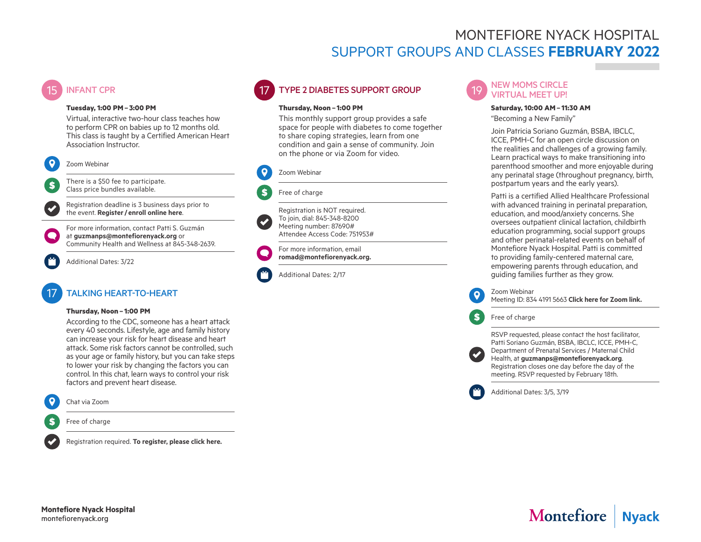## MONTEFIORE NYACK HOSPITAL SUPPORT GROUPS AND CLASSES **FEBRUARY 2022**

### **INFANT CPR**

#### **Tuesday, 1:00 PM– 3:00 PM**

Virtual, interactive two-hour class teaches how to perform CPR on babies up to 12 months old. This class is taught by a Certified American Heart Association Instructor.



S.

There is a \$50 fee to participate. Class price bundles available.

Registration deadline is 3 business days prior to the event. **Register/ [enroll online here](https://us06web.zoom.us/webinar/register/WN_Pg491ClRR6O-Qs1XvxjpiQ)**.

For more information, contact Patti S. Guzmán at **[guzmanps@montefiorenyack.org](mailto:guzmanps%40montefiorenyack.org?subject=Infant%20CPR)** or Community Health and Wellness at 845-348-2639.

Additional Dates: 3/22

### 17 TALKING HEART-TO-HEART

#### **Thursday, Noon – 1:00 PM**

According to the CDC, someone has a heart attack every 40 seconds. Lifestyle, age and family history can increase your risk for heart disease and heart attack. Some risk factors cannot be controlled, such as your age or family history, but you can take steps to lower your risk by changing the factors you can control. In this chat, learn ways to control your risk factors and prevent heart disease.



Chat via Zoom

Free of charge

Registration required. **[To register, please click here.](https://us06web.zoom.us/webinar/register/WN_QchtaQaVT-CL8nz7zgxI2w)**

# 17 TYPE 2 DIABETES SUPPORT GROUP

#### **Thursday, Noon – 1:00 PM**

This monthly support group provides a safe space for people with diabetes to come together to share coping strategies, learn from one condition and gain a sense of community. Join on the phone or via Zoom for video.



#### Free of charge



\$

Attendee Access Code: 751953# For more information, email

Registration is NOT required. To join, dial: 845-348-8200 Meeting number: 87690#

**[romad@montefiorenyack.org.](mailto:romad%40montefiorenyack.org?subject=Type%202%20Diabetes%20Support%20Group)**

Additional Dates: 2/17

#### **NEW MOMS CIRCLE** VIRTUAL MEET UP!

#### **Saturday, 10:00 AM– 11:30 AM**

"Becoming a New Family"

Join Patricia Soriano Guzmán, BSBA, IBCLC, ICCE, PMH-C for an open circle discussion on the realities and challenges of a growing family. Learn practical ways to make transitioning into parenthood smoother and more enjoyable during any perinatal stage (throughout pregnancy, birth, postpartum years and the early years).

Patti is a certified Allied Healthcare Professional with advanced training in perinatal preparation, education, and mood/anxiety concerns. She oversees outpatient clinical lactation, childbirth education programming, social support groups and other perinatal-related events on behalf of Montefiore Nyack Hospital. Patti is committed to providing family-centered maternal care, empowering parents through education, and guiding families further as they grow.

Zoom Webinar Meeting ID: 834 4191 5663 **[Click here for Zoom link](https://us06web.zoom.us/j/83441915663).**

Free of charge

RSVP requested, please contact the host facilitator, Patti Soriano Guzmán, BSBA, IBCLC, ICCE, PMH-C,

Department of Prenatal Services / Maternal Child Health, at **[guzmanps@montefiorenyack.org](http://guzmanps@montefiorenyack.org)**. Registration closes one day before the day of the meeting. RSVP requested by February 18th.

Additional Dates: 3/5, 3/19



# Montefiore | Nyack